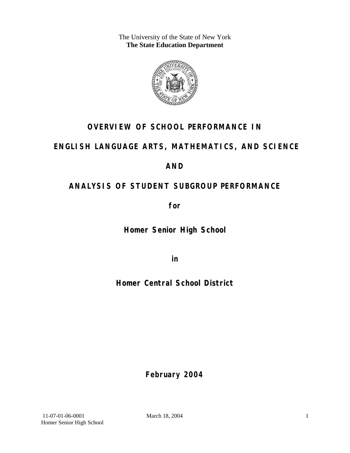The University of the State of New York **The State Education Department** 



# **OVERVIEW OF SCHOOL PERFORMANCE IN**

# **ENGLISH LANGUAGE ARTS, MATHEMATICS, AND SCIENCE**

# **AND**

# **ANALYSIS OF STUDENT SUBGROUP PERFORMANCE**

**for** 

**Homer Senior High School**

**in** 

**Homer Central School District**

**February 2004**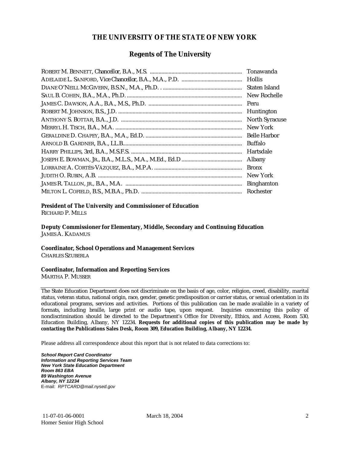### **THE UNIVERSITY OF THE STATE OF NEW YORK**

### **Regents of The University**

| Tonawanda             |
|-----------------------|
| <b>Hollis</b>         |
| Staten Island         |
| New Rochelle          |
| Peru                  |
| Huntington            |
| <b>North Syracuse</b> |
| New York              |
| <b>Belle Harbor</b>   |
| Buffalo               |
| Hartsdale             |
| Albany                |
| <b>Bronx</b>          |
| New York              |
| <b>Binghamton</b>     |
| Rochester             |

#### **President of The University and Commissioner of Education**

RICHARD P. MILLS

**Deputy Commissioner for Elementary, Middle, Secondary and Continuing Education**  JAMES A. KADAMUS

#### **Coordinator, School Operations and Management Services**

CHARLES SZUBERLA

#### **Coordinator, Information and Reporting Services**

MARTHA P. MUSSER

The State Education Department does not discriminate on the basis of age, color, religion, creed, disability, marital status, veteran status, national origin, race, gender, genetic predisposition or carrier status, or sexual orientation in its educational programs, services and activities. Portions of this publication can be made available in a variety of formats, including braille, large print or audio tape, upon request. Inquiries concerning this policy of nondiscrimination should be directed to the Department's Office for Diversity, Ethics, and Access, Room 530, Education Building, Albany, NY 12234. **Requests for additional copies of this publication may be made by contacting the Publications Sales Desk, Room 309, Education Building, Albany, NY 12234.** 

Please address all correspondence about this report that is not related to data corrections to:

*School Report Card Coordinator Information and Reporting Services Team New York State Education Department Room 863 EBA 89 Washington Avenue Albany, NY 12234*  E-mail: *RPTCARD@mail.nysed.gov*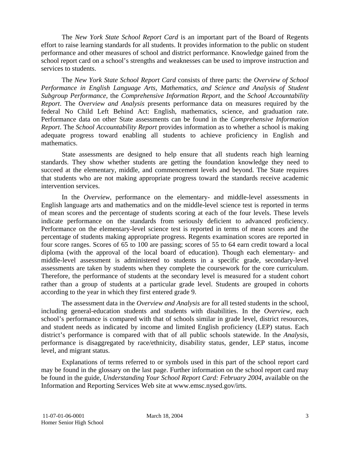The *New York State School Report Card* is an important part of the Board of Regents effort to raise learning standards for all students. It provides information to the public on student performance and other measures of school and district performance. Knowledge gained from the school report card on a school's strengths and weaknesses can be used to improve instruction and services to students.

The *New York State School Report Card* consists of three parts: the *Overview of School Performance in English Language Arts, Mathematics, and Science and Analysis of Student Subgroup Performance,* the *Comprehensive Information Report,* and the *School Accountability Report*. The *Overview and Analysis* presents performance data on measures required by the federal No Child Left Behind Act: English, mathematics, science, and graduation rate. Performance data on other State assessments can be found in the *Comprehensive Information Report*. The *School Accountability Report* provides information as to whether a school is making adequate progress toward enabling all students to achieve proficiency in English and mathematics.

State assessments are designed to help ensure that all students reach high learning standards. They show whether students are getting the foundation knowledge they need to succeed at the elementary, middle, and commencement levels and beyond. The State requires that students who are not making appropriate progress toward the standards receive academic intervention services.

In the *Overview*, performance on the elementary- and middle-level assessments in English language arts and mathematics and on the middle-level science test is reported in terms of mean scores and the percentage of students scoring at each of the four levels. These levels indicate performance on the standards from seriously deficient to advanced proficiency. Performance on the elementary-level science test is reported in terms of mean scores and the percentage of students making appropriate progress. Regents examination scores are reported in four score ranges. Scores of 65 to 100 are passing; scores of 55 to 64 earn credit toward a local diploma (with the approval of the local board of education). Though each elementary- and middle-level assessment is administered to students in a specific grade, secondary-level assessments are taken by students when they complete the coursework for the core curriculum. Therefore, the performance of students at the secondary level is measured for a student cohort rather than a group of students at a particular grade level. Students are grouped in cohorts according to the year in which they first entered grade 9.

The assessment data in the *Overview and Analysis* are for all tested students in the school, including general-education students and students with disabilities. In the *Overview*, each school's performance is compared with that of schools similar in grade level, district resources, and student needs as indicated by income and limited English proficiency (LEP) status. Each district's performance is compared with that of all public schools statewide. In the *Analysis*, performance is disaggregated by race/ethnicity, disability status, gender, LEP status, income level, and migrant status.

Explanations of terms referred to or symbols used in this part of the school report card may be found in the glossary on the last page. Further information on the school report card may be found in the guide, *Understanding Your School Report Card: February 2004*, available on the Information and Reporting Services Web site at www.emsc.nysed.gov/irts.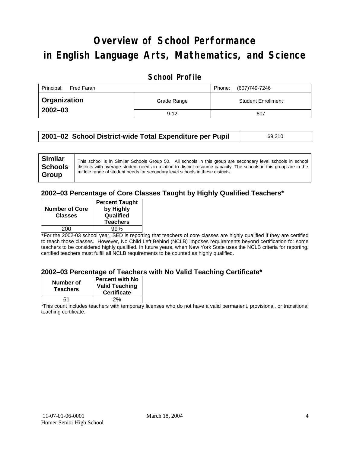# **Overview of School Performance in English Language Arts, Mathematics, and Science**

### **School Profile**

| Principal:<br>Fred Farah | (607)749-7246<br>Phone: |                           |  |  |  |
|--------------------------|-------------------------|---------------------------|--|--|--|
| Organization             | Grade Range             | <b>Student Enrollment</b> |  |  |  |
| $2002 - 03$              | $9 - 12$                | 807                       |  |  |  |

| 2001–02 School District-wide Total Expenditure per Pupil | \$9,210 |
|----------------------------------------------------------|---------|
|----------------------------------------------------------|---------|

### **2002–03 Percentage of Core Classes Taught by Highly Qualified Teachers\***

| <b>Number of Core</b><br><b>Classes</b> | <b>Percent Taught</b><br>by Highly<br>Qualified<br><b>Teachers</b> |
|-----------------------------------------|--------------------------------------------------------------------|
|                                         |                                                                    |
| 200                                     | 99%                                                                |
|                                         |                                                                    |

\*For the 2002-03 school year, SED is reporting that teachers of core classes are highly qualified if they are certified to teach those classes. However, No Child Left Behind (NCLB) imposes requirements beyond certification for some teachers to be considered highly qualified. In future years, when New York State uses the NCLB criteria for reporting, certified teachers must fulfill all NCLB requirements to be counted as highly qualified.

#### **2002–03 Percentage of Teachers with No Valid Teaching Certificate\***

| Number of<br><b>Teachers</b> | <b>Percent with No</b><br><b>Valid Teaching</b><br><b>Certificate</b> |
|------------------------------|-----------------------------------------------------------------------|
| ิ ค1                         | 2%                                                                    |

\*This count includes teachers with temporary licenses who do not have a valid permanent, provisional, or transitional teaching certificate.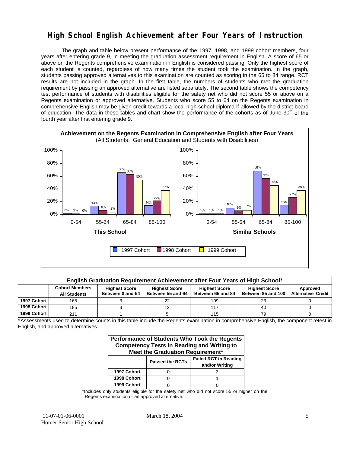### **High School English Achievement after Four Years of Instruction**

The graph and table below present performance of the 1997, 1998, and 1999 cohort members, four years after entering grade 9, in meeting the graduation assessment requirement in English. A score of 65 or above on the Regents comprehensive examination in English is considered passing. Only the highest score of each student is counted, regardless of how many times the student took the examination. In the graph, students passing approved alternatives to this examination are counted as scoring in the 65 to 84 range. RCT results are not included in the graph. In the first table, the numbers of students who met the graduation requirement by passing an approved alternative are listed separately. The second table shows the competency test performance of students with disabilities eligible for the safety net who did not score 55 or above on a Regents examination or approved alternative. Students who score 55 to 64 on the Regents examination in comprehensive English may be given credit towards a local high school diploma if allowed by the district board of education. The data in these tables and chart show the performance of the cohorts as of June 30<sup>th</sup> of the fourth year after first entering grade 9.



| English Graduation Requirement Achievement after Four Years of High School* |                                                                                                                                                                                                                                                                           |  |    |     |    |  |  |  |  |
|-----------------------------------------------------------------------------|---------------------------------------------------------------------------------------------------------------------------------------------------------------------------------------------------------------------------------------------------------------------------|--|----|-----|----|--|--|--|--|
|                                                                             | <b>Cohort Members</b><br><b>Highest Score</b><br><b>Highest Score</b><br><b>Highest Score</b><br><b>Highest Score</b><br>Approved<br>Between 55 and 64<br>Between 85 and 100<br><b>Alternative Credit</b><br>Between 0 and 54<br>Between 65 and 84<br><b>All Students</b> |  |    |     |    |  |  |  |  |
| 1997 Cohort                                                                 | 165                                                                                                                                                                                                                                                                       |  | 22 | 109 | 23 |  |  |  |  |
| 1998 Cohort                                                                 | 185                                                                                                                                                                                                                                                                       |  |    |     | 40 |  |  |  |  |
| 1999 Cohort                                                                 | 211                                                                                                                                                                                                                                                                       |  |    | 115 | 79 |  |  |  |  |

\*Assessments used to determine counts in this table include the Regents examination in comprehensive English, the component retest in English, and approved alternatives.

| Performance of Students Who Took the Regents<br><b>Competency Tests in Reading and Writing to</b><br>Meet the Graduation Requirement* |                        |                                                |  |  |  |  |  |
|---------------------------------------------------------------------------------------------------------------------------------------|------------------------|------------------------------------------------|--|--|--|--|--|
|                                                                                                                                       | <b>Passed the RCTs</b> | <b>Failed RCT in Reading</b><br>and/or Writing |  |  |  |  |  |
| 1997 Cohort                                                                                                                           |                        |                                                |  |  |  |  |  |
| 1998 Cohort                                                                                                                           |                        |                                                |  |  |  |  |  |
| 1999 Cohort                                                                                                                           |                        |                                                |  |  |  |  |  |

\*Includes only students eligible for the safety net who did not score 55 or higher on the Regents examination or an approved alternative.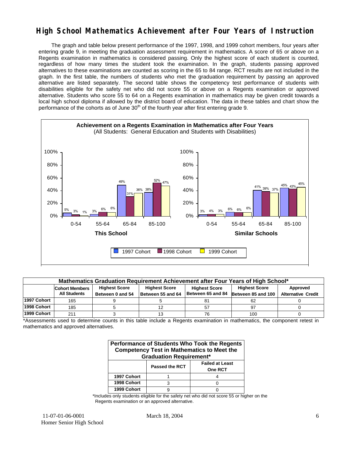## **High School Mathematics Achievement after Four Years of Instruction**

The graph and table below present performance of the 1997, 1998, and 1999 cohort members, four years after entering grade 9, in meeting the graduation assessment requirement in mathematics. A score of 65 or above on a Regents examination in mathematics is considered passing. Only the highest score of each student is counted, regardless of how many times the student took the examination. In the graph, students passing approved alternatives to these examinations are counted as scoring in the 65 to 84 range. RCT results are not included in the graph. In the first table, the numbers of students who met the graduation requirement by passing an approved alternative are listed separately. The second table shows the competency test performance of students with disabilities eligible for the safety net who did not score 55 or above on a Regents examination or approved alternative. Students who score 55 to 64 on a Regents examination in mathematics may be given credit towards a local high school diploma if allowed by the district board of education. The data in these tables and chart show the performance of the cohorts as of June  $30<sup>th</sup>$  of the fourth year after first entering grade 9.



| Mathematics Graduation Requirement Achievement after Four Years of High School* |                                                                                                                                   |                  |                   |                   |                    |                           |  |  |  |
|---------------------------------------------------------------------------------|-----------------------------------------------------------------------------------------------------------------------------------|------------------|-------------------|-------------------|--------------------|---------------------------|--|--|--|
|                                                                                 | <b>Highest Score</b><br><b>Highest Score</b><br><b>Highest Score</b><br>Approved<br><b>Cohort Members</b><br><b>Highest Score</b> |                  |                   |                   |                    |                           |  |  |  |
|                                                                                 | <b>All Students</b>                                                                                                               | Between 0 and 54 | Between 55 and 64 | Between 65 and 84 | Between 85 and 100 | <b>Alternative Credit</b> |  |  |  |
| 1997 Cohort                                                                     | 165                                                                                                                               |                  |                   | 81                | 62                 |                           |  |  |  |
| 1998 Cohort                                                                     | 185                                                                                                                               |                  |                   | 57                | 97                 |                           |  |  |  |
| 1999 Cohort                                                                     | 211                                                                                                                               |                  |                   | 76                | 100                |                           |  |  |  |

\*Assessments used to determine counts in this table include a Regents examination in mathematics, the component retest in mathematics and approved alternatives.

| Performance of Students Who Took the Regents<br><b>Competency Test in Mathematics to Meet the</b><br><b>Graduation Requirement*</b> |  |  |  |  |  |  |
|-------------------------------------------------------------------------------------------------------------------------------------|--|--|--|--|--|--|
| <b>Failed at Least</b><br><b>Passed the RCT</b><br>One RCT                                                                          |  |  |  |  |  |  |
| 1997 Cohort                                                                                                                         |  |  |  |  |  |  |
| 1998 Cohort                                                                                                                         |  |  |  |  |  |  |
| 1999 Cohort                                                                                                                         |  |  |  |  |  |  |

\*Includes only students eligible for the safety net who did not score 55 or higher on the Regents examination or an approved alternative.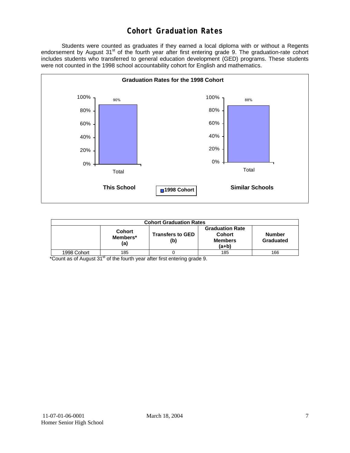# **Cohort Graduation Rates**

 Students were counted as graduates if they earned a local diploma with or without a Regents endorsement by August 31<sup>st</sup> of the fourth year after first entering grade 9. The graduation-rate cohort includes students who transferred to general education development (GED) programs. These students were not counted in the 1998 school accountability cohort for English and mathematics.



| <b>Cohort Graduation Rates</b> |                                  |                                |                                                               |                            |  |  |
|--------------------------------|----------------------------------|--------------------------------|---------------------------------------------------------------|----------------------------|--|--|
|                                | <b>Cohort</b><br>Members*<br>(a) | <b>Transfers to GED</b><br>(b) | <b>Graduation Rate</b><br>Cohort<br><b>Members</b><br>$(a+b)$ | <b>Number</b><br>Graduated |  |  |
| 1998 Cohort                    | 185                              |                                | 185                                                           | 166                        |  |  |

\*Count as of August 31<sup>st</sup> of the fourth year after first entering grade 9.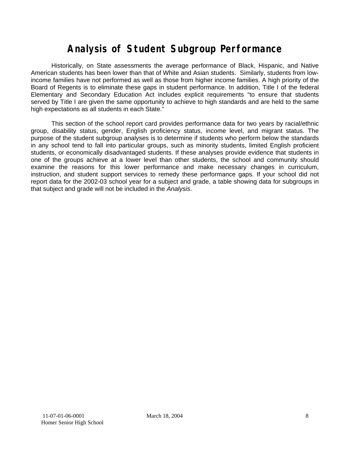# **Analysis of Student Subgroup Performance**

Historically, on State assessments the average performance of Black, Hispanic, and Native American students has been lower than that of White and Asian students. Similarly, students from lowincome families have not performed as well as those from higher income families. A high priority of the Board of Regents is to eliminate these gaps in student performance. In addition, Title I of the federal Elementary and Secondary Education Act includes explicit requirements "to ensure that students served by Title I are given the same opportunity to achieve to high standards and are held to the same high expectations as all students in each State."

This section of the school report card provides performance data for two years by racial/ethnic group, disability status, gender, English proficiency status, income level, and migrant status. The purpose of the student subgroup analyses is to determine if students who perform below the standards in any school tend to fall into particular groups, such as minority students, limited English proficient students, or economically disadvantaged students. If these analyses provide evidence that students in one of the groups achieve at a lower level than other students, the school and community should examine the reasons for this lower performance and make necessary changes in curriculum, instruction, and student support services to remedy these performance gaps. If your school did not report data for the 2002-03 school year for a subject and grade, a table showing data for subgroups in that subject and grade will not be included in the *Analysis*.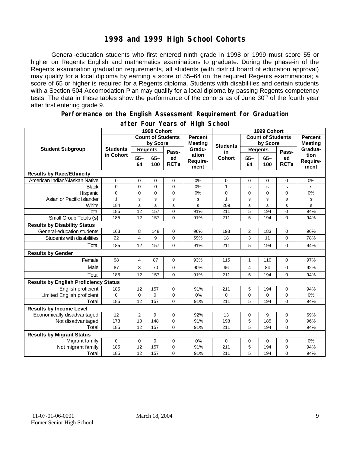### **1998 and 1999 High School Cohorts**

General-education students who first entered ninth grade in 1998 or 1999 must score 55 or higher on Regents English and mathematics examinations to graduate. During the phase-in of the Regents examination graduation requirements, all students (with district board of education approval) may qualify for a local diploma by earning a score of 55–64 on the required Regents examinations; a score of 65 or higher is required for a Regents diploma. Students with disabilities and certain students with a Section 504 Accomodation Plan may qualify for a local diploma by passing Regents competency tests. The data in these tables show the performance of the cohorts as of June 30<sup>th</sup> of the fourth year after first entering grade 9.

#### **Performance on the English Assessment Requirement for Graduation**

|                                              | 1998 Cohort     |                            |               |                   |                           | 1999 Cohort              |                |                |                   |                          |
|----------------------------------------------|-----------------|----------------------------|---------------|-------------------|---------------------------|--------------------------|----------------|----------------|-------------------|--------------------------|
|                                              |                 | <b>Count of Students</b>   |               | <b>Percent</b>    |                           | <b>Count of Students</b> |                | <b>Percent</b> |                   |                          |
| <b>Student Subgroup</b>                      |                 | by Score<br><b>Meeting</b> |               | <b>Students</b>   | by Score                  |                          | <b>Meeting</b> |                |                   |                          |
|                                              | <b>Students</b> | <b>Regents</b>             |               | Pass-             | Gradu-                    | in                       | <b>Regents</b> |                | Pass-             | Gradua-                  |
|                                              | in Cohort       | $55 -$<br>64               | $65 -$<br>100 | ed<br><b>RCTs</b> | ation<br>Require-<br>ment | <b>Cohort</b>            | $55 -$<br>64   | $65 -$<br>100  | ed<br><b>RCTs</b> | tion<br>Require-<br>ment |
| <b>Results by Race/Ethnicity</b>             |                 |                            |               |                   |                           |                          |                |                |                   |                          |
| American Indian/Alaskan Native               | $\mathbf 0$     | 0                          | 0             | $\mathbf 0$       | 0%                        | 0                        | 0              | $\Omega$       | $\Omega$          | 0%                       |
| <b>Black</b>                                 | 0               | 0                          | 0             | $\Omega$          | 0%                        | 1                        | s              | s              | S                 | s                        |
| Hispanic                                     | 0               | 0                          | $\Omega$      | $\Omega$          | 0%                        | 0                        | $\overline{0}$ | $\Omega$       | $\overline{0}$    | 0%                       |
| Asian or Pacific Islander                    | $\mathbf{1}$    | s                          | s             | s                 | s                         | $\mathbf{1}$             | $\mathbf s$    | s              | s                 | s                        |
| White                                        | 184             | ${\tt s}$                  | s             | s                 | s                         | 209                      | $\mathbf s$    | s              | s                 | s                        |
| Total                                        | 185             | $\overline{12}$            | 157           | 0                 | 91%                       | 211                      | 5              | 194            | $\mathbf 0$       | 94%                      |
| Small Group Totals (s)                       | 185             | 12                         | 157           | $\Omega$          | 91%                       | 211                      | 5              | 194            | $\overline{0}$    | 94%                      |
| <b>Results by Disability Status</b>          |                 |                            |               |                   |                           |                          |                |                |                   |                          |
| General-education students                   | 163             | 8                          | 148           | 0                 | 96%                       | 193                      | 2              | 183            | 0                 | 96%                      |
| Students with disabilities                   | 22              | 4                          | 9             | 0                 | 59%                       | 18                       | 3              | 11             | $\mathbf 0$       | 78%                      |
| Total                                        | 185             | 12                         | 157           | $\mathbf 0$       | 91%                       | 211                      | 5              | 194            | 0                 | 94%                      |
| <b>Results by Gender</b>                     |                 |                            |               |                   |                           |                          |                |                |                   |                          |
| Female                                       | 98              | $\overline{4}$             | 87            | $\Omega$          | 93%                       | 115                      | $\mathbf{1}$   | 110            | $\Omega$          | 97%                      |
| Male                                         | 87              | 8                          | 70            | $\Omega$          | 90%                       | 96                       | 4              | 84             | $\Omega$          | 92%                      |
| Total                                        | 185             | 12                         | 157           | $\Omega$          | 91%                       | 211                      | 5              | 194            | $\Omega$          | 94%                      |
| <b>Results by English Proficiency Status</b> |                 |                            |               |                   |                           |                          |                |                |                   |                          |
| English proficient                           | 185             | 12                         | 157           | $\mathbf 0$       | 91%                       | 211                      | 5              | 194            | $\mathbf 0$       | 94%                      |
| Limited English proficient                   | $\mathbf 0$     | 0                          | 0             | $\mathbf 0$       | 0%                        | 0                        | $\mathbf 0$    | 0              | $\mathbf 0$       | 0%                       |
| Total                                        | 185             | 12                         | 157           | $\Omega$          | 91%                       | 211                      | 5              | 194            | $\Omega$          | 94%                      |
| <b>Results by Income Level</b>               |                 |                            |               |                   |                           |                          |                |                |                   |                          |
| Economically disadvantaged                   | 12              | $\overline{2}$             | 9             | $\mathbf 0$       | 92%                       | 13                       | 0              | 9              | 0                 | 69%                      |
| Not disadvantaged                            | 173             | 10                         | 148           | 0                 | 91%                       | 198                      | 5              | 185            | 0                 | 96%                      |
| Total                                        | 185             | 12                         | 157           | $\Omega$          | 91%                       | 211                      | 5              | 194            | $\overline{0}$    | 94%                      |
| <b>Results by Migrant Status</b>             |                 |                            |               |                   |                           |                          |                |                |                   |                          |
| Migrant family                               | $\mathbf 0$     | 0                          | 0             | $\mathbf 0$       | 0%                        | 0                        | 0              | $\Omega$       | $\mathbf 0$       | 0%                       |
| Not migrant family                           | 185             | 12                         | 157           | 0                 | 91%                       | 211                      | 5              | 194            | 0                 | 94%                      |
| Total                                        | 185             | 12                         | 157           | $\mathbf 0$       | 91%                       | 211                      | 5              | 194            | 0                 | 94%                      |

### **after Four Years of High School**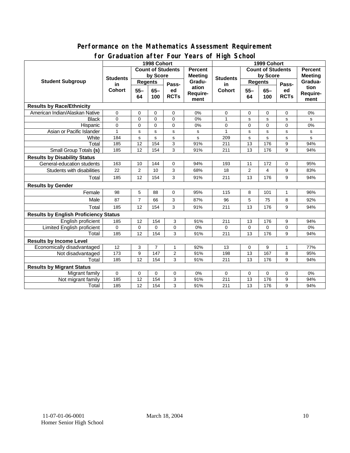### **Performance on the Mathematics Assessment Requirement for Graduation after Four Years of High School**

|                                              | or addaction at the road<br>1998 Cohort |                |          |                          |                 | Turis of The Sulla<br>1999 Cohort |                                            |                |             |          |  |
|----------------------------------------------|-----------------------------------------|----------------|----------|--------------------------|-----------------|-----------------------------------|--------------------------------------------|----------------|-------------|----------|--|
|                                              | <b>Count of Students</b>                |                |          |                          | Percent         |                                   | <b>Count of Students</b><br><b>Percent</b> |                |             |          |  |
| <b>Student Subgroup</b>                      | <b>Students</b>                         | by Score       |          | <b>Meeting</b><br>Gradu- | <b>Students</b> | by Score                          |                                            | <b>Meeting</b> |             |          |  |
|                                              |                                         | <b>Regents</b> |          |                          |                 | <b>Regents</b>                    |                                            |                | Gradua-     |          |  |
|                                              | in                                      |                |          | Pass-                    | ation           | in                                |                                            |                | Pass-       | tion     |  |
|                                              | <b>Cohort</b>                           | $55 -$         | $65-$    | ed                       | Require-        | <b>Cohort</b>                     | $55 -$                                     | $65-$          | ed          | Require- |  |
|                                              |                                         | 64             | 100      | <b>RCTs</b>              | ment            |                                   | 64                                         | 100            | <b>RCTs</b> | ment     |  |
| <b>Results by Race/Ethnicity</b>             |                                         |                |          |                          |                 |                                   |                                            |                |             |          |  |
| American Indian/Alaskan Native               | 0                                       | 0              | $\Omega$ | $\mathbf 0$              | 0%              | 0                                 | 0                                          | 0              | $\mathbf 0$ | 0%       |  |
| <b>Black</b>                                 | 0                                       | $\mathbf 0$    | $\Omega$ | $\overline{0}$           | 0%              | $\mathbf{1}$                      | s                                          | $\mathbf s$    | s           | s        |  |
| Hispanic                                     | 0                                       | $\mathbf 0$    | $\Omega$ | $\Omega$                 | 0%              | 0                                 | $\mathbf 0$                                | $\mathbf 0$    | 0           | 0%       |  |
| Asian or Pacific Islander                    | $\mathbf{1}$                            | s              | s        | $\mathbf s$              | s               | $\mathbf{1}$                      | s                                          | s              | s           | s        |  |
| White                                        | 184                                     | $\mathbf s$    | s        | $\mathbf s$              | s               | 209                               | $\mathbf s$                                | $\sf s$        | s           | s        |  |
| Total                                        | 185                                     | 12             | 154      | 3                        | 91%             | 211                               | 13                                         | 176            | 9           | 94%      |  |
| <b>Small Group Totals (s)</b>                | $\frac{1}{185}$                         | 12             | 154      | 3                        | 91%             | 211                               | 13                                         | 176            | 9           | 94%      |  |
| <b>Results by Disability Status</b>          |                                         |                |          |                          |                 |                                   |                                            |                |             |          |  |
| General-education students                   | 163                                     | 10             | 144      | 0                        | 94%             | 193                               | 11                                         | 172            | 0           | 95%      |  |
| Students with disabilities                   | 22                                      | $\overline{2}$ | 10       | 3                        | 68%             | 18                                | 2                                          | $\overline{4}$ | 9           | 83%      |  |
| Total                                        | 185                                     | 12             | 154      | 3                        | 91%             | 211                               | 13                                         | 176            | 9           | 94%      |  |
| <b>Results by Gender</b>                     |                                         |                |          |                          |                 |                                   |                                            |                |             |          |  |
| Female                                       | 98                                      | 5              | 88       | $\mathbf 0$              | 95%             | 115                               | 8                                          | 101            | 1           | 96%      |  |
| Male                                         | 87                                      | $\overline{7}$ | 66       | 3                        | 87%             | 96                                | 5                                          | 75             | 8           | 92%      |  |
| Total                                        | 185                                     | 12             | 154      | 3                        | 91%             | 211                               | 13                                         | 176            | 9           | 94%      |  |
| <b>Results by English Proficiency Status</b> |                                         |                |          |                          |                 |                                   |                                            |                |             |          |  |
| English proficient                           | 185                                     | 12             | 154      | 3                        | 91%             | 211                               | 13                                         | 176            | 9           | 94%      |  |
| Limited English proficient                   | $\overline{0}$                          | $\mathbf 0$    | 0        | 0                        | 0%              | $\overline{0}$                    | $\mathbf 0$                                | 0              | 0           | 0%       |  |
| Total                                        | 185                                     | 12             | 154      | 3                        | 91%             | 211                               | 13                                         | 176            | 9           | 94%      |  |
| <b>Results by Income Level</b>               |                                         |                |          |                          |                 |                                   |                                            |                |             |          |  |
| Economically disadvantaged                   | 12                                      | 3              | 7        | 1                        | 92%             | 13                                | 0                                          | 9              | 1           | 77%      |  |
| Not disadvantaged                            | 173                                     | 9              | 147      | $\overline{\mathbf{c}}$  | 91%             | 198                               | 13                                         | 167            | 8           | 95%      |  |
| Total                                        | 185                                     | 12             | 154      | 3                        | 91%             | 211                               | 13                                         | 176            | 9           | 94%      |  |
| <b>Results by Migrant Status</b>             |                                         |                |          |                          |                 |                                   |                                            |                |             |          |  |
| Migrant family                               | 0                                       | $\mathbf 0$    | 0        | 0                        | 0%              | 0                                 | 0                                          | 0              | 0           | 0%       |  |
| Not migrant family                           | 185                                     | 12             | 154      | 3                        | 91%             | 211                               | 13                                         | 176            | 9           | 94%      |  |
| Total                                        | 185                                     | 12             | 154      | 3                        | 91%             | 211                               | 13                                         | 176            | 9           | 94%      |  |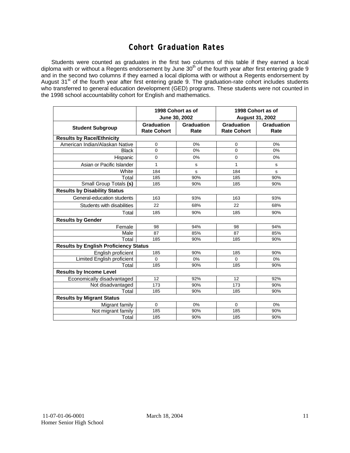### **Cohort Graduation Rates**

Students were counted as graduates in the first two columns of this table if they earned a local diploma with or without a Regents endorsement by June 30<sup>th</sup> of the fourth year after first entering grade 9 and in the second two columns if they earned a local diploma with or without a Regents endorsement by August 31<sup>st</sup> of the fourth year after first entering grade 9. The graduation-rate cohort includes students who transferred to general education development (GED) programs. These students were not counted in the 1998 school accountability cohort for English and mathematics.

|                                              | 1998 Cohort as of                       |                           | 1998 Cohort as of                |                           |  |  |  |  |  |
|----------------------------------------------|-----------------------------------------|---------------------------|----------------------------------|---------------------------|--|--|--|--|--|
|                                              | June 30, 2002                           |                           | <b>August 31, 2002</b>           |                           |  |  |  |  |  |
| <b>Student Subgroup</b>                      | <b>Graduation</b><br><b>Rate Cohort</b> | <b>Graduation</b><br>Rate | Graduation<br><b>Rate Cohort</b> | <b>Graduation</b><br>Rate |  |  |  |  |  |
| <b>Results by Race/Ethnicity</b>             |                                         |                           |                                  |                           |  |  |  |  |  |
| American Indian/Alaskan Native               | 0                                       | 0%                        | 0                                | 0%                        |  |  |  |  |  |
| <b>Black</b>                                 | $\mathbf{0}$                            | 0%                        | $\mathbf 0$                      | 0%                        |  |  |  |  |  |
| Hispanic                                     | $\mathbf 0$                             | 0%                        | $\mathbf 0$                      | $0\%$                     |  |  |  |  |  |
| Asian or Pacific Islander                    | 1                                       | s                         | 1                                | s                         |  |  |  |  |  |
| White                                        | 184                                     | s                         | 184                              | s                         |  |  |  |  |  |
| Total                                        | 185                                     | 90%                       | 185                              | 90%                       |  |  |  |  |  |
| Small Group Totals (s)                       | 185                                     | 90%                       | 185                              | 90%                       |  |  |  |  |  |
| <b>Results by Disability Status</b>          |                                         |                           |                                  |                           |  |  |  |  |  |
| General-education students                   | 163                                     | 93%                       | 163                              | 93%                       |  |  |  |  |  |
| Students with disabilities                   | 22                                      | 68%                       | 22                               | 68%                       |  |  |  |  |  |
| Total                                        | 185                                     | 90%                       | 185                              | 90%                       |  |  |  |  |  |
| <b>Results by Gender</b>                     |                                         |                           |                                  |                           |  |  |  |  |  |
| Female                                       | 98                                      | 94%                       | 98                               | 94%                       |  |  |  |  |  |
| Male                                         | 87                                      | 85%                       | 87                               | 85%                       |  |  |  |  |  |
| Total                                        | 185                                     | 90%                       | 185                              | 90%                       |  |  |  |  |  |
| <b>Results by English Proficiency Status</b> |                                         |                           |                                  |                           |  |  |  |  |  |
| English proficient                           | 185                                     | 90%                       | 185                              | 90%                       |  |  |  |  |  |
| <b>Limited English proficient</b>            | $\mathbf 0$                             | 0%                        | $\mathbf 0$                      | 0%                        |  |  |  |  |  |
| Total                                        | 185                                     | 90%                       | 185                              | 90%                       |  |  |  |  |  |
| <b>Results by Income Level</b>               |                                         |                           |                                  |                           |  |  |  |  |  |
| Economically disadvantaged                   | 12                                      | 92%                       | 12                               | 92%                       |  |  |  |  |  |
| Not disadvantaged                            | 173                                     | 90%                       | 173                              | 90%                       |  |  |  |  |  |
| Total                                        | 185                                     | 90%                       | 185                              | 90%                       |  |  |  |  |  |
| <b>Results by Migrant Status</b>             |                                         |                           |                                  |                           |  |  |  |  |  |
| Migrant family                               | $\mathbf 0$                             | 0%                        | $\Omega$                         | 0%                        |  |  |  |  |  |
| Not migrant family                           | 185                                     | 90%                       | 185                              | 90%                       |  |  |  |  |  |
| Total                                        | 185                                     | 90%                       | 185                              | 90%                       |  |  |  |  |  |